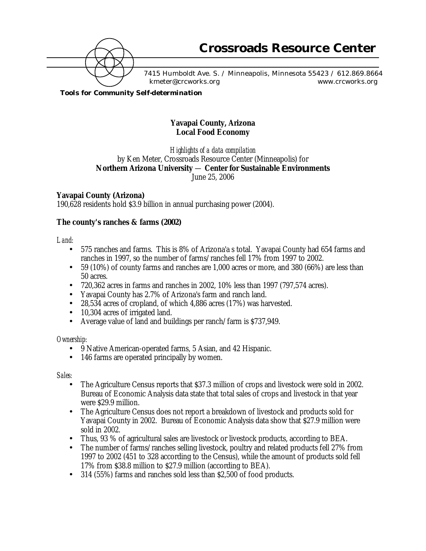

7415 Humboldt Ave. S. / Minneapolis, Minnesota 55423 / 612.869.8664 kmeter@crcworks.org www.crcworks.org

*Tools for Community Self-determination*

# **Yavapai County, Arizona Local Food Economy**

*Highlights of a data compilation* by Ken Meter, Crossroads Resource Center (Minneapolis) for **Northern Arizona University** — **Center for Sustainable Environments** June 25, 2006

# **Yavapai County (Arizona)**

190,628 residents hold \$3.9 billion in annual purchasing power (2004).

# **The county's ranches & farms (2002)**

*Land:*

- 575 ranches and farms. This is 8% of Arizona'a s total. Yavapai County had 654 farms and ranches in 1997, so the number of farms/ranches fell 17% from 1997 to 2002.
- 59 (10%) of county farms and ranches are 1,000 acres or more, and 380 (66%) are less than 50 acres.
- 720,362 acres in farms and ranches in 2002, 10% less than 1997 (797,574 acres).
- Yavapai County has 2.7% of Arizona's farm and ranch land.
- 28,534 acres of cropland, of which 4,886 acres (17%) was harvested.
- 10,304 acres of irrigated land.
- Average value of land and buildings per ranch/farm is \$737,949.

## *Ownership:*

- 9 Native American-operated farms, 5 Asian, and 42 Hispanic.
- 146 farms are operated principally by women.

*Sales:*

- The Agriculture Census reports that \$37.3 million of crops and livestock were sold in 2002. Bureau of Economic Analysis data state that total sales of crops and livestock in that year were \$29.9 million.
- The Agriculture Census does not report a breakdown of livestock and products sold for Yavapai County in 2002. Bureau of Economic Analysis data show that \$27.9 million were sold in 2002.
- Thus, 93 % of agricultural sales are livestock or livestock products, according to BEA.
- The number of farms/ranches selling livestock, poultry and related products fell 27% from 1997 to 2002 (451 to 328 according to the Census), while the amount of products sold fell 17% from \$38.8 million to \$27.9 million (according to BEA).
- 314 (55%) farms and ranches sold less than \$2,500 of food products.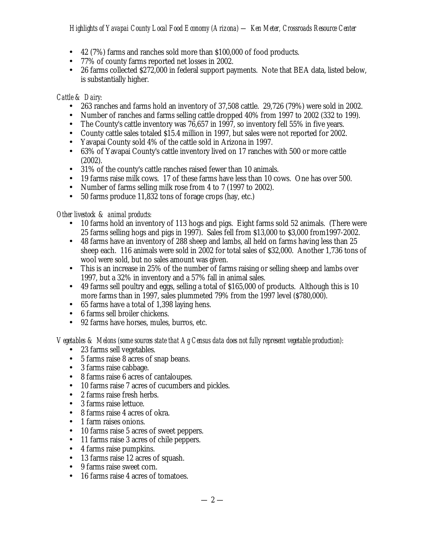# *Highlights of Yavapai County Local Food Economy (Arizona) — Ken Meter, Crossroads Resource Center*

- 42 (7%) farms and ranches sold more than \$100,000 of food products.
- 77% of county farms reported net losses in 2002.
- 26 farms collected \$272,000 in federal support payments. Note that BEA data, listed below, is substantially higher.

## *Cattle & Dairy:*

- 263 ranches and farms hold an inventory of 37,508 cattle. 29,726 (79%) were sold in 2002.
- Number of ranches and farms selling cattle dropped 40% from 1997 to 2002 (332 to 199).
- The County's cattle inventory was 76,657 in 1997, so inventory fell 55% in five years.
- County cattle sales totaled \$15.4 million in 1997, but sales were not reported for 2002.
- Yavapai County sold 4% of the cattle sold in Arizona in 1997.
- 63% of Yavapai County's cattle inventory lived on 17 ranches with 500 or more cattle (2002).
- 31% of the county's cattle ranches raised fewer than 10 animals.
- 19 farms raise milk cows. 17 of these farms have less than 10 cows. One has over 500.
- Number of farms selling milk rose from 4 to 7 (1997 to 2002).
- 50 farms produce 11,832 tons of forage crops (hay, etc.)

## *Other livestock & animal products:*

- 10 farms hold an inventory of 113 hogs and pigs. Eight farms sold 52 animals. (There were 25 farms selling hogs and pigs in 1997). Sales fell from \$13,000 to \$3,000 from1997-2002.
- 48 farms have an inventory of 288 sheep and lambs, all held on farms having less than 25 sheep each. 116 animals were sold in 2002 for total sales of \$32,000. Another 1,736 tons of wool were sold, but no sales amount was given.
- This is an increase in 25% of the number of farms raising or selling sheep and lambs over 1997, but a 32% in inventory and a 57% fall in animal sales.
- 49 farms sell poultry and eggs, selling a total of \$165,000 of products. Although this is 10 more farms than in 1997, sales plummeted 79% from the 1997 level (\$780,000).
- 65 farms have a total of 1,398 laying hens.
- 6 farms sell broiler chickens.
- 92 farms have horses, mules, burros, etc.

## *Vegetables & Melons (some sources state that Ag Census data does not fully represent vegetable production):*

- 23 farms sell vegetables.
- 5 farms raise 8 acres of snap beans.
- 3 farms raise cabbage.
- 8 farms raise 6 acres of cantaloupes.
- 10 farms raise 7 acres of cucumbers and pickles.
- 2 farms raise fresh herbs.
- 3 farms raise lettuce.
- 8 farms raise 4 acres of okra.
- 1 farm raises onions.
- 10 farms raise 5 acres of sweet peppers.
- 11 farms raise 3 acres of chile peppers.
- 4 farms raise pumpkins.
- 13 farms raise 12 acres of squash.
- 9 farms raise sweet corn.
- 16 farms raise 4 acres of tomatoes.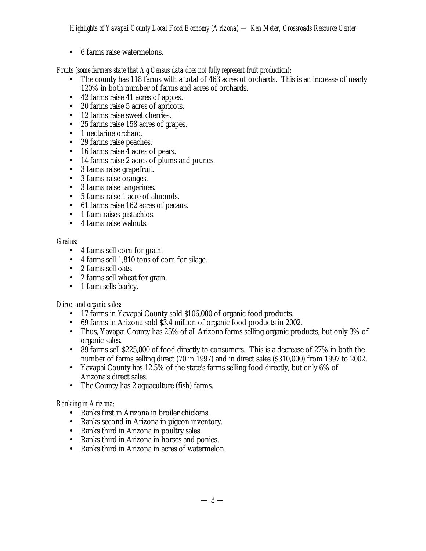• 6 farms raise watermelons.

*Fruits (some farmers state that Ag Census data does not fully represent fruit production):*

- The county has 118 farms with a total of 463 acres of orchards. This is an increase of nearly 120% in both number of farms and acres of orchards.
- 42 farms raise 41 acres of apples.
- 20 farms raise 5 acres of apricots.
- 12 farms raise sweet cherries.
- 25 farms raise 158 acres of grapes.
- 1 nectarine orchard.
- 29 farms raise peaches.
- 16 farms raise 4 acres of pears.
- 14 farms raise 2 acres of plums and prunes.
- 3 farms raise grapefruit.
- 3 farms raise oranges.
- 3 farms raise tangerines.
- 5 farms raise 1 acre of almonds.
- 61 farms raise 162 acres of pecans.
- 1 farm raises pistachios.
- 4 farms raise walnuts.

## *Grains:*

- 4 farms sell corn for grain.
- 4 farms sell 1,810 tons of corn for silage.
- 2 farms sell oats.
- 2 farms sell wheat for grain.
- 1 farm sells barley.

## *Direct and organic sales:*

- 17 farms in Yavapai County sold \$106,000 of organic food products.
- 69 farms in Arizona sold \$3.4 million of organic food products in 2002.
- Thus, Yavapai County has 25% of all Arizona farms selling organic products, but only 3% of organic sales.
- 89 farms sell \$225,000 of food directly to consumers. This is a decrease of 27% in both the number of farms selling direct (70 in 1997) and in direct sales (\$310,000) from 1997 to 2002.
- Yavapai County has 12.5% of the state's farms selling food directly, but only 6% of Arizona's direct sales.
- The County has 2 aquaculture (fish) farms.

# *Ranking in Arizona:*

- Ranks first in Arizona in broiler chickens.
- Ranks second in Arizona in pigeon inventory.
- Ranks third in Arizona in poultry sales.
- Ranks third in Arizona in horses and ponies.
- Ranks third in Arizona in acres of watermelon.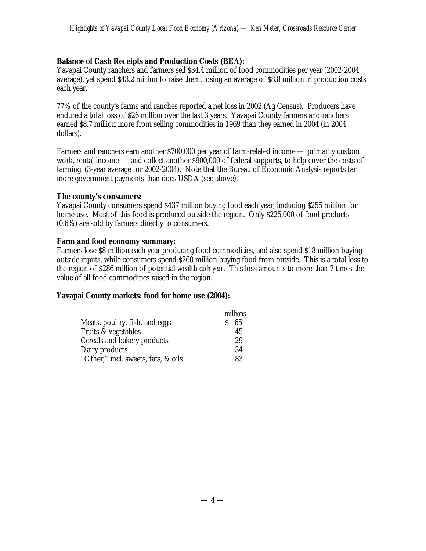## **Balance of Cash Receipts and Production Costs (BEA):**

Yavapai County ranchers and farmers sell \$34.4 million of food commodities per year (2002-2004 average), yet spend \$43.2 million to raise them, losing an average of \$8.8 million in production costs each year.

77% of the county's farms and ranches reported a net loss in 2002 (Ag Census). Producers have endured a total loss of \$26 million over the last 3 years. Yavapai County farmers and ranchers earned \$8.7 million more from selling commodities in 1969 than they earned in 2004 (in 2004 dollars).

Farmers and ranchers earn another \$700,000 per year of farm-related income — primarily custom work, rental income — and collect another \$900,000 of federal supports, to help cover the costs of farming. (3-year average for 2002-2004). Note that the Bureau of Economic Analysis reports far more government payments than does USDA (see above).

#### **The county's consumers:**

Yavapai County consumers spend \$437 million buying food each year, including \$255 million for home use. Most of this food is produced outside the region. Only \$225,000 of food products (0.6%) are sold by farmers directly to consumers.

#### **Farm and food economy summary:**

Farmers lose \$8 million each year producing food commodities, and also spend \$18 million buying outside inputs, while consumers spend \$260 million buying food from outside. This is a total loss to the region of \$286 million of potential wealth *each year*. This loss amounts to more than 7 times the value of all food commodities raised in the region.

#### **Yavapai County markets: food for home use (2004):**

|                                     | millions |
|-------------------------------------|----------|
| Meats, poultry, fish, and eggs      | 65       |
| Fruits & vegetables                 | 45       |
| Cereals and bakery products         | 29       |
| Dairy products                      | 34       |
| "Other," incl. sweets, fats, & oils | 83       |